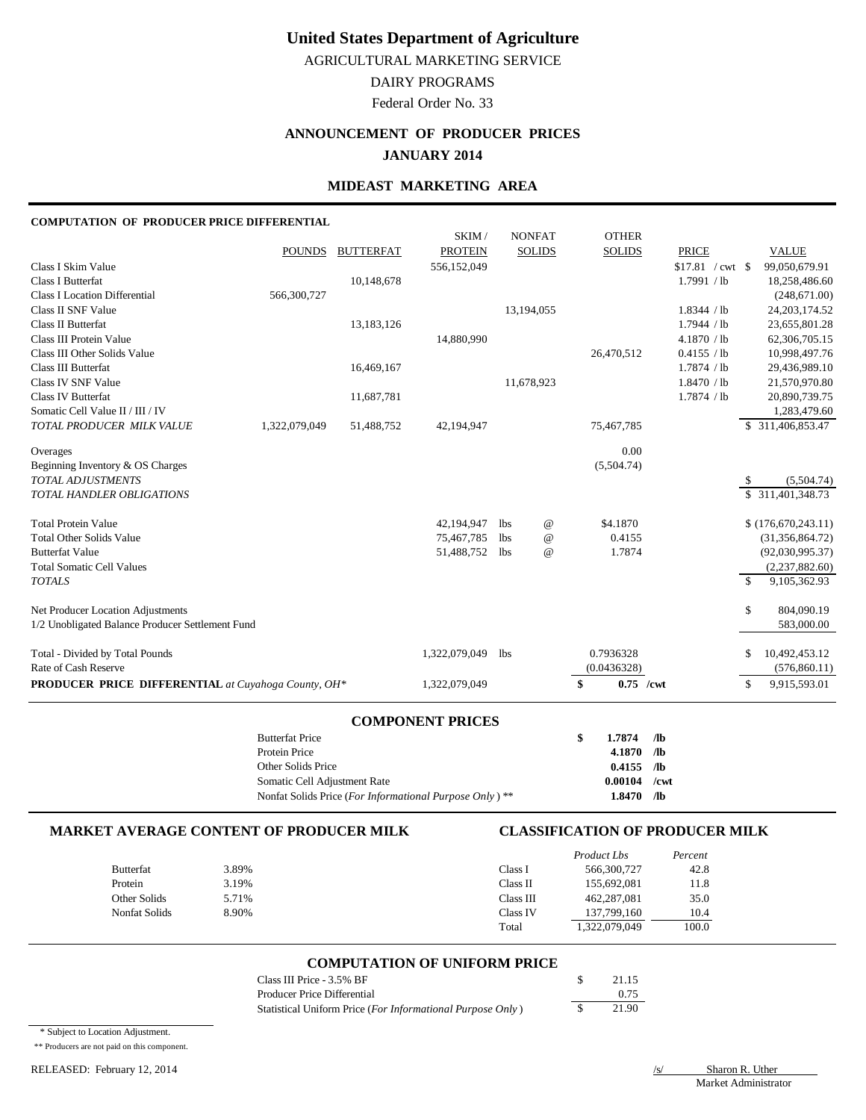AGRICULTURAL MARKETING SERVICE

## DAIRY PROGRAMS

Federal Order No. 33

## **ANNOUNCEMENT OF PRODUCER PRICES JANUARY 2014**

### **MIDEAST MARKETING AREA**

#### **COMPUTATION OF PRODUCER PRICE DIFFERENTIAL**

|                                                                                            | <b>Butterfat Price</b><br>Protein Price |                          |                              |            |                                | \$<br>1.7874<br>4.1870        | $/$ lb<br>/1 <sub>b</sub>          |               |                                                    |
|--------------------------------------------------------------------------------------------|-----------------------------------------|--------------------------|------------------------------|------------|--------------------------------|-------------------------------|------------------------------------|---------------|----------------------------------------------------|
|                                                                                            |                                         |                          | <b>COMPONENT PRICES</b>      |            |                                |                               |                                    |               |                                                    |
| PRODUCER PRICE DIFFERENTIAL at Cuyahoga County, OH*                                        |                                         |                          | 1,322,079,049                |            |                                | \$<br>$0.75$ /cwt             |                                    | <sup>\$</sup> | 9,915,593.01                                       |
| Total - Divided by Total Pounds<br>Rate of Cash Reserve                                    |                                         |                          | 1,322,079,049                | <b>lbs</b> |                                | 0.7936328<br>(0.0436328)      |                                    | \$            | 10,492,453.12<br>(576, 860.11)                     |
| Net Producer Location Adjustments<br>1/2 Unobligated Balance Producer Settlement Fund      |                                         |                          |                              |            |                                |                               |                                    | \$            | 804,090.19<br>583,000.00                           |
| <b>Total Somatic Cell Values</b><br><b>TOTALS</b>                                          |                                         |                          |                              |            |                                |                               |                                    | $\mathcal{S}$ | (2,237,882.60)<br>9,105,362.93                     |
| <b>Total Other Solids Value</b><br><b>Butterfat Value</b>                                  |                                         |                          | 75,467,785<br>51,488,752 lbs | lbs        | $^{\copyright}$<br>$\omega$    | 0.4155<br>1.7874              |                                    |               | (31, 356, 864.72)<br>(92,030,995.37)               |
| <b>Total Protein Value</b>                                                                 |                                         |                          | 42,194,947                   | <b>lbs</b> | $^{\copyright}$                | \$4.1870                      |                                    |               | \$(176,670,243.11)                                 |
| Beginning Inventory & OS Charges<br><b>TOTAL ADJUSTMENTS</b><br>TOTAL HANDLER OBLIGATIONS  |                                         |                          |                              |            |                                | (5,504.74)                    |                                    | -S            | (5,504.74)<br>\$ 311,401,348.73                    |
| Overages                                                                                   |                                         |                          |                              |            |                                | 0.00                          |                                    |               |                                                    |
| <b>Class IV Butterfat</b><br>Somatic Cell Value II / III / IV<br>TOTAL PRODUCER MILK VALUE | 1,322,079,049                           | 11,687,781<br>51,488,752 | 42,194,947                   |            |                                | 75,467,785                    | 1.7874 / lb                        |               | 20,890,739.75<br>1,283,479.60<br>\$ 311,406,853.47 |
| Class III Butterfat<br>Class IV SNF Value                                                  |                                         | 16,469,167               |                              |            | 11,678,923                     |                               | 1.7874 / lb<br>1.8470 / lb         |               | 29,436,989.10<br>21,570,970.80                     |
| <b>Class III Protein Value</b><br>Class III Other Solids Value                             |                                         |                          | 14,880,990                   |            |                                | 26,470,512                    | 4.1870 / lb<br>0.4155 / lb         |               | 62,306,705.15<br>10,998,497.76                     |
| <b>Class I Location Differential</b><br><b>Class II SNF Value</b><br>Class II Butterfat    | 566,300,727                             | 13,183,126               |                              |            | 13,194,055                     |                               | 1.8344 / lb<br>1.7944 / lb         |               | (248,671.00)<br>24, 203, 174.52<br>23,655,801.28   |
| Class I Skim Value<br><b>Class I Butterfat</b>                                             |                                         | 10,148,678               | 556,152,049                  |            |                                |                               | $$17.81$ / cwt \ \$<br>1.7991 / lb |               | 99,050,679.91<br>18,258,486.60                     |
|                                                                                            | <b>POUNDS</b>                           | <b>BUTTERFAT</b>         | SKIM /<br><b>PROTEIN</b>     |            | <b>NONFAT</b><br><b>SOLIDS</b> | <b>OTHER</b><br><b>SOLIDS</b> | <b>PRICE</b>                       |               | <b>VALUE</b>                                       |

| Protein Price                |                                                         | 4.1870 / / Ib  |  |
|------------------------------|---------------------------------------------------------|----------------|--|
| Other Solids Price           |                                                         | $0.4155$ /lb   |  |
| Somatic Cell Adjustment Rate |                                                         | $0.00104$ /cwt |  |
|                              | Nonfat Solids Price (For Informational Purpose Only) ** | $1.8470$ /lb   |  |

#### **MARKET AVERAGE CONTENT OF PRODUCER MILK CLASSIFICATION OF PRODUCER MILK**

|                      |       |           | Product Lbs   | Percent |
|----------------------|-------|-----------|---------------|---------|
| Butterfat            | 3.89% | Class I   | 566,300,727   | 42.8    |
| Protein              | 3.19% | Class II  | 155,692,081   | 11.8    |
| Other Solids         | 5.71% | Class III | 462,287,081   | 35.0    |
| <b>Nonfat Solids</b> | 8.90% | Class IV  | 137,799,160   | 10.4    |
|                      |       | Total     | 1,322,079,049 | 100.0   |

#### **COMPUTATION OF UNIFORM PRICE**

| Class III Price - 3.5% BF                                           | 21.15 |
|---------------------------------------------------------------------|-------|
| Producer Price Differential                                         | 0.75  |
| Statistical Uniform Price ( <i>For Informational Purpose Only</i> ) | 21.90 |

\* Subject to Location Adjustment.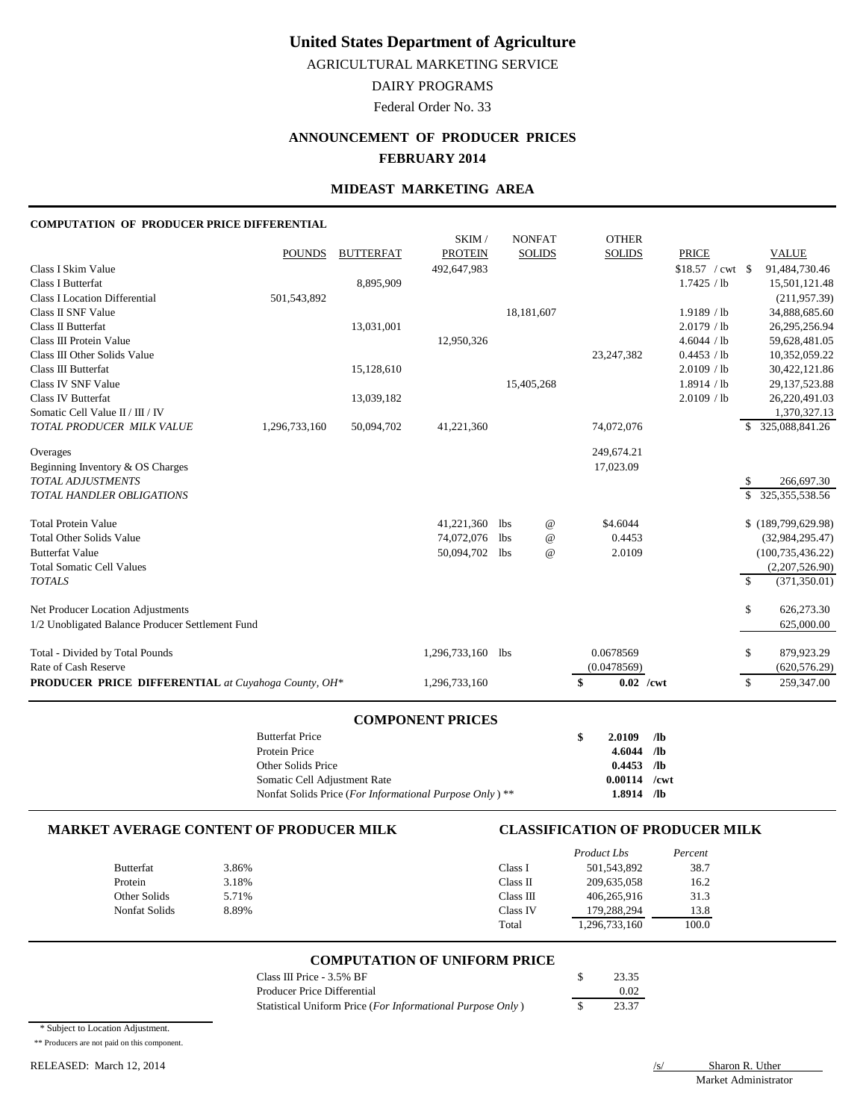AGRICULTURAL MARKETING SERVICE

DAIRY PROGRAMS

Federal Order No. 33

## **ANNOUNCEMENT OF PRODUCER PRICES FEBRUARY 2014**

## **MIDEAST MARKETING AREA**

#### **COMPUTATION OF PRODUCER PRICE DIFFERENTIAL**

|                                                            |               |                  | SKIM/                   |            | <b>NONFAT</b>   | <b>OTHER</b>      |                   |    |                    |
|------------------------------------------------------------|---------------|------------------|-------------------------|------------|-----------------|-------------------|-------------------|----|--------------------|
|                                                            | <b>POUNDS</b> | <b>BUTTERFAT</b> | <b>PROTEIN</b>          |            | <b>SOLIDS</b>   | <b>SOLIDS</b>     | <b>PRICE</b>      |    | <b>VALUE</b>       |
| Class I Skim Value                                         |               |                  | 492,647,983             |            |                 |                   | $$18.57$ / cwt \$ |    | 91,484,730.46      |
| <b>Class I Butterfat</b>                                   |               | 8,895,909        |                         |            |                 |                   | 1.7425 / lb       |    | 15,501,121.48      |
| <b>Class I Location Differential</b>                       | 501,543,892   |                  |                         |            |                 |                   |                   |    | (211, 957.39)      |
| Class II SNF Value                                         |               |                  |                         |            | 18,181,607      |                   | 1.9189 / lb       |    | 34,888,685.60      |
| Class II Butterfat                                         |               | 13,031,001       |                         |            |                 |                   | 2.0179 / lb       |    | 26,295,256.94      |
| Class III Protein Value                                    |               |                  | 12,950,326              |            |                 |                   | 4.6044 / lb       |    | 59,628,481.05      |
| Class III Other Solids Value                               |               |                  |                         |            |                 | 23, 247, 382      | 0.4453 / lb       |    | 10,352,059.22      |
| Class III Butterfat                                        |               | 15,128,610       |                         |            |                 |                   | 2.0109 / lb       |    | 30,422,121.86      |
| Class IV SNF Value                                         |               |                  |                         |            | 15,405,268      |                   | 1.8914 / lb       |    | 29, 137, 523.88    |
| <b>Class IV Butterfat</b>                                  |               | 13,039,182       |                         |            |                 |                   | 2.0109 / lb       |    | 26,220,491.03      |
| Somatic Cell Value II / III / IV                           |               |                  |                         |            |                 |                   |                   |    | 1,370,327.13       |
| TOTAL PRODUCER MILK VALUE                                  | 1,296,733,160 | 50,094,702       | 41,221,360              |            |                 | 74,072,076        |                   | S. | 325,088,841.26     |
| Overages                                                   |               |                  |                         |            |                 | 249,674.21        |                   |    |                    |
| Beginning Inventory & OS Charges                           |               |                  |                         |            |                 | 17,023.09         |                   |    |                    |
| TOTAL ADJUSTMENTS                                          |               |                  |                         |            |                 |                   |                   | S  | 266,697.30         |
| <b>TOTAL HANDLER OBLIGATIONS</b>                           |               |                  |                         |            |                 |                   |                   | \$ | 325, 355, 538.56   |
| <b>Total Protein Value</b>                                 |               |                  | 41,221,360              | <b>lbs</b> | $^{\copyright}$ | \$4.6044          |                   |    | \$(189,799,629.98) |
| <b>Total Other Solids Value</b>                            |               |                  | 74,072,076              | <b>lbs</b> | $^{\copyright}$ | 0.4453            |                   |    | (32, 984, 295.47)  |
| <b>Butterfat Value</b>                                     |               |                  | 50,094,702              | <b>lbs</b> | $^{\omega}{}$   | 2.0109            |                   |    | (100, 735, 436.22) |
| <b>Total Somatic Cell Values</b>                           |               |                  |                         |            |                 |                   |                   |    | (2,207,526.90)     |
| <b>TOTALS</b>                                              |               |                  |                         |            |                 |                   |                   | -S | (371, 350.01)      |
| Net Producer Location Adjustments                          |               |                  |                         |            |                 |                   |                   | \$ | 626,273.30         |
| 1/2 Unobligated Balance Producer Settlement Fund           |               |                  |                         |            |                 |                   |                   |    | 625,000.00         |
| Total - Divided by Total Pounds                            |               |                  | 1,296,733,160           | lbs        |                 | 0.0678569         |                   | \$ | 879,923.29         |
| Rate of Cash Reserve                                       |               |                  |                         |            |                 | (0.0478569)       |                   |    | (620, 576.29)      |
| <b>PRODUCER PRICE DIFFERENTIAL</b> at Cuyahoga County, OH* |               |                  | 1,296,733,160           |            |                 | $0.02$ /cwt<br>\$ |                   | S. | 259,347.00         |
|                                                            |               |                  | <b>COMPONENT PRICES</b> |            |                 |                   |                   |    |                    |

| 2.0109 | /lb                                                            |
|--------|----------------------------------------------------------------|
|        |                                                                |
|        |                                                                |
|        |                                                                |
|        | /lb                                                            |
|        | \$<br>$4.6044$ /lb<br>$0.4453$ /lb<br>$0.00114$ /cwt<br>1.8914 |

#### **MARKET AVERAGE CONTENT OF PRODUCER MILK CLASSIFICATION OF PRODUCER MILK**

|                      |       |           | Product Lbs  | Percent |
|----------------------|-------|-----------|--------------|---------|
| <b>Butterfat</b>     | 3.86% | Class I   | 501,543,892  | 38.7    |
| Protein              | 3.18% | Class II  | 209,635,058  | 16.2    |
| Other Solids         | 5.71% | Class III | 406,265,916  | 31.3    |
| <b>Nonfat Solids</b> | 8.89% | Class IV  | 179.288.294  | 13.8    |
|                      |       | Total     | ,296,733,160 | 100.0   |

#### **COMPUTATION OF UNIFORM PRICE**

| Class III Price - 3.5% BF                                  | 23.35 |
|------------------------------------------------------------|-------|
| Producer Price Differential                                | 0.02  |
| Statistical Uniform Price (For Informational Purpose Only) | 23.37 |

\* Subject to Location Adjustment.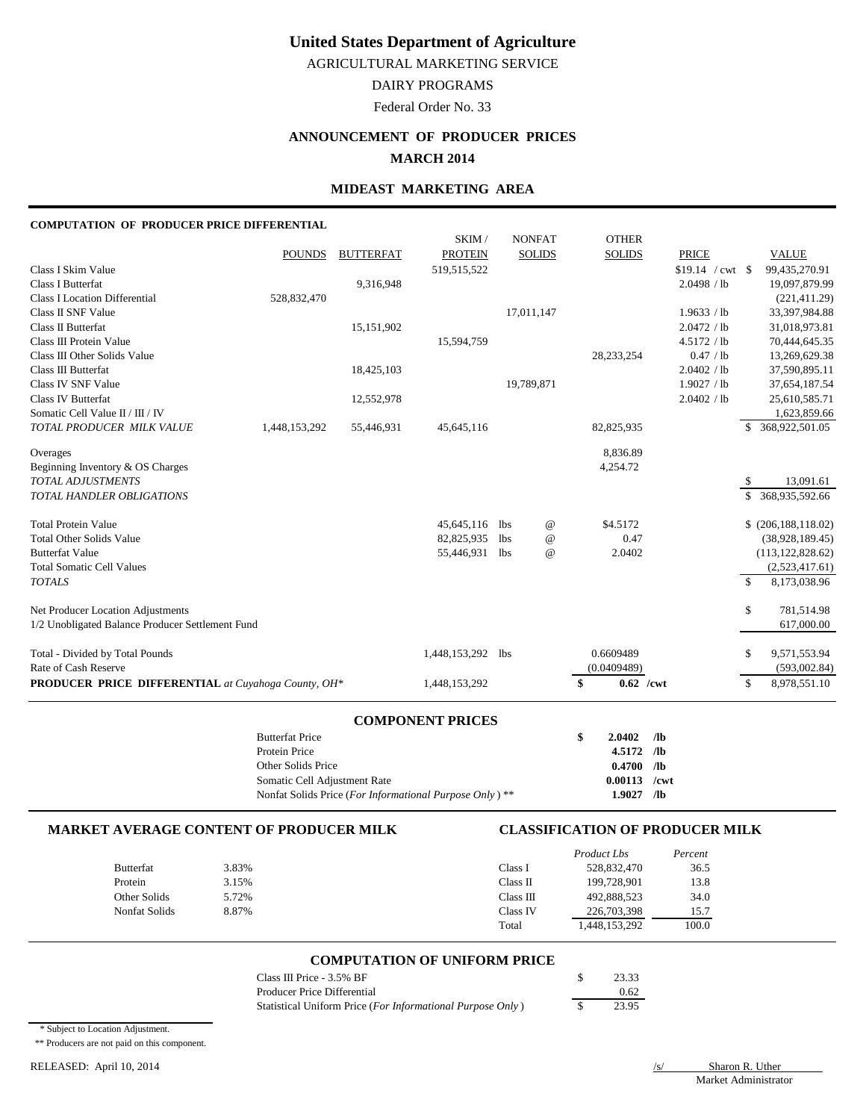AGRICULTURAL MARKETING SERVICE

DAIRY PROGRAMS

Federal Order No. 33

# **ANNOUNCEMENT OF PRODUCER PRICES**

## **MARCH 2014**

## **MIDEAST MARKETING AREA**

### **COMPUTATION OF PRODUCER PRICE DIFFERENTIAL**

|                                                     |               |                  | SKIM/                   |            | <b>NONFAT</b>   | <b>OTHER</b>      |                    |               |                       |
|-----------------------------------------------------|---------------|------------------|-------------------------|------------|-----------------|-------------------|--------------------|---------------|-----------------------|
|                                                     | <b>POUNDS</b> | <b>BUTTERFAT</b> | <b>PROTEIN</b>          |            | <b>SOLIDS</b>   | <b>SOLIDS</b>     | <b>PRICE</b>       |               | <b>VALUE</b>          |
| Class I Skim Value                                  |               |                  | 519,515,522             |            |                 |                   | $$19.14$ / cwt \\$ |               | 99,435,270.91         |
| <b>Class I Butterfat</b>                            |               | 9,316,948        |                         |            |                 |                   | 2.0498 / lb        |               | 19,097,879.99         |
| <b>Class I Location Differential</b>                | 528,832,470   |                  |                         |            |                 |                   |                    |               | (221, 411.29)         |
| Class II SNF Value                                  |               |                  |                         |            | 17,011,147      |                   | 1.9633 / lb        |               | 33,397,984.88         |
| Class II Butterfat                                  |               | 15,151,902       |                         |            |                 |                   | 2.0472 / lb        |               | 31,018,973.81         |
| Class III Protein Value                             |               |                  | 15,594,759              |            |                 |                   | 4.5172 / lb        |               | 70,444,645.35         |
| Class III Other Solids Value                        |               |                  |                         |            |                 | 28, 233, 254      | 0.47 / lb          |               | 13,269,629.38         |
| Class III Butterfat                                 |               | 18,425,103       |                         |            |                 |                   | 2.0402 / lb        |               | 37,590,895.11         |
| Class IV SNF Value                                  |               |                  |                         |            | 19,789,871      |                   | 1.9027 / lb        |               | 37,654,187.54         |
| Class IV Butterfat                                  |               | 12,552,978       |                         |            |                 |                   | 2.0402 / lb        |               | 25,610,585.71         |
| Somatic Cell Value II / III / IV                    |               |                  |                         |            |                 |                   |                    |               | 1,623,859.66          |
| TOTAL PRODUCER MILK VALUE                           | 1,448,153,292 | 55,446,931       | 45,645,116              |            |                 | 82,825,935        |                    | \$            | 368,922,501.05        |
| Overages                                            |               |                  |                         |            |                 | 8,836.89          |                    |               |                       |
| Beginning Inventory & OS Charges                    |               |                  |                         |            |                 | 4,254.72          |                    |               |                       |
| TOTAL ADJUSTMENTS                                   |               |                  |                         |            |                 |                   |                    | \$            | 13,091.61             |
| <b>TOTAL HANDLER OBLIGATIONS</b>                    |               |                  |                         |            |                 |                   |                    | \$.           | 368,935,592.66        |
| <b>Total Protein Value</b>                          |               |                  | 45,645,116              | <b>lbs</b> | $^{\copyright}$ | \$4.5172          |                    |               | \$ (206, 188, 118.02) |
| <b>Total Other Solids Value</b>                     |               |                  | 82,825,935              | <b>lbs</b> | $^{\copyright}$ | 0.47              |                    |               | (38,928,189.45)       |
| <b>Butterfat Value</b>                              |               |                  | 55,446,931              | lbs        | $^{\omega}{}$   | 2.0402            |                    |               | (113, 122, 828.62)    |
| <b>Total Somatic Cell Values</b>                    |               |                  |                         |            |                 |                   |                    |               | (2,523,417.61)        |
| <b>TOTALS</b>                                       |               |                  |                         |            |                 |                   |                    | $\mathcal{S}$ | 8,173,038.96          |
| Net Producer Location Adjustments                   |               |                  |                         |            |                 |                   |                    | \$            | 781,514.98            |
| 1/2 Unobligated Balance Producer Settlement Fund    |               |                  |                         |            |                 |                   |                    |               | 617,000.00            |
| Total - Divided by Total Pounds                     |               |                  | 1,448,153,292           | lbs        |                 | 0.6609489         |                    | \$            | 9,571,553.94          |
| Rate of Cash Reserve                                |               |                  |                         |            |                 | (0.0409489)       |                    |               | (593,002.84)          |
| PRODUCER PRICE DIFFERENTIAL at Cuyahoga County, OH* |               |                  | 1,448,153,292           |            |                 | \$<br>$0.62$ /cwt |                    | $\mathbb{S}$  | 8,978,551.10          |
|                                                     |               |                  | <b>COMPONENT PRICES</b> |            |                 |                   |                    |               |                       |

| COMMONDER TRICED                                                   |     |                |     |
|--------------------------------------------------------------------|-----|----------------|-----|
| <b>Butterfat Price</b>                                             | \$. | $2.0402$ /lb   |     |
| Protein Price                                                      |     | $4.5172$ /lb   |     |
| Other Solids Price                                                 |     | $0.4700$ /lb   |     |
| Somatic Cell Adjustment Rate                                       |     | $0.00113$ /cwt |     |
| Nonfat Solids Price (For Informational Purpose Only) <sup>**</sup> |     | 1.9027         | /lb |

#### **MARKET AVERAGE CONTENT OF PRODUCER MILK CLASSIFICATION OF PRODUCER MILK**

|                  |       |           | <b>Product Lbs</b> | Percent |
|------------------|-------|-----------|--------------------|---------|
| <b>Butterfat</b> | 3.83% | Class I   | 528,832,470        | 36.5    |
| Protein          | 3.15% | Class II  | 199.728.901        | 13.8    |
| Other Solids     | 5.72% | Class III | 492,888,523        | 34.0    |
| Nonfat Solids    | 8.87% | Class IV  | 226,703,398        | 15.7    |
|                  |       | Total     | 1,448,153,292      | 100.0   |

#### **COMPUTATION OF UNIFORM PRICE**

| Class III Price - 3.5% BF                                  | 23.33 |
|------------------------------------------------------------|-------|
| Producer Price Differential                                | 0.62  |
| Statistical Uniform Price (For Informational Purpose Only) | 23.95 |

\* Subject to Location Adjustment.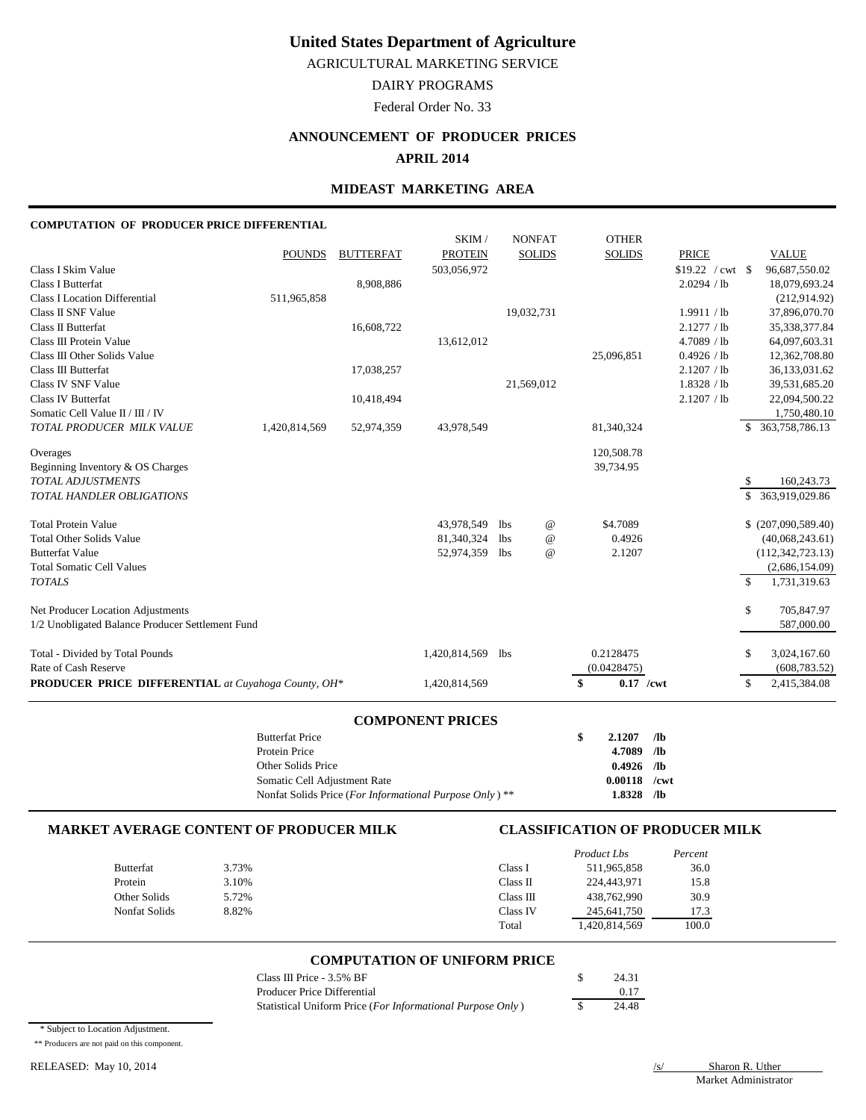AGRICULTURAL MARKETING SERVICE

DAIRY PROGRAMS

Federal Order No. 33

## **ANNOUNCEMENT OF PRODUCER PRICES**

## **APRIL 2014**

### **MIDEAST MARKETING AREA**

#### **COMPUTATION OF PRODUCER PRICE DIFFERENTIAL**

|                                                                  | <b>Butterfat Price</b> |                  |                          |                   |                 | \$<br>2.1207      | /1 <sub>b</sub>   |               |                                      |
|------------------------------------------------------------------|------------------------|------------------|--------------------------|-------------------|-----------------|-------------------|-------------------|---------------|--------------------------------------|
|                                                                  |                        |                  | <b>COMPONENT PRICES</b>  |                   |                 |                   |                   |               |                                      |
| <b>PRODUCER PRICE DIFFERENTIAL</b> at Cuyahoga County, OH*       |                        |                  | 1,420,814,569            |                   |                 | \$<br>$0.17$ /cwt |                   | $\mathcal{S}$ | 2,415,384.08                         |
| Rate of Cash Reserve                                             |                        |                  |                          |                   |                 | (0.0428475)       |                   |               | (608, 783.52)                        |
| Total - Divided by Total Pounds                                  |                        |                  | 1,420,814,569            | <b>lbs</b>        |                 | 0.2128475         |                   | \$            | 3,024,167.60                         |
| 1/2 Unobligated Balance Producer Settlement Fund                 |                        |                  |                          |                   |                 |                   |                   |               | 587,000.00                           |
| Net Producer Location Adjustments                                |                        |                  |                          |                   |                 |                   |                   | \$            | 705,847.97                           |
|                                                                  |                        |                  |                          |                   |                 |                   |                   |               |                                      |
| <b>TOTALS</b>                                                    |                        |                  |                          |                   |                 |                   |                   | $\mathcal{S}$ | 1,731,319.63                         |
| <b>Total Somatic Cell Values</b>                                 |                        |                  |                          |                   |                 |                   |                   |               | (112, 342, 723.13)<br>(2,686,154.09) |
| <b>Total Other Solids Value</b><br><b>Butterfat Value</b>        |                        |                  | 81,340,324<br>52,974,359 | <b>lbs</b><br>lbs | @<br>$\omega$   | 0.4926<br>2.1207  |                   |               | (40,068,243.61)                      |
| <b>Total Protein Value</b>                                       |                        |                  | 43,978,549               | lbs               | $^{\copyright}$ | \$4.7089          |                   |               | \$ (207,090,589.40)                  |
|                                                                  |                        |                  |                          |                   |                 |                   |                   |               |                                      |
| <b>TOTAL HANDLER OBLIGATIONS</b>                                 |                        |                  |                          |                   |                 |                   |                   | \$.           | 363,919,029.86                       |
| <b>TOTAL ADJUSTMENTS</b>                                         |                        |                  |                          |                   |                 |                   |                   | S             | 160,243.73                           |
| Beginning Inventory & OS Charges                                 |                        |                  |                          |                   |                 | 39,734.95         |                   |               |                                      |
| Overages                                                         |                        |                  |                          |                   |                 | 120,508.78        |                   |               |                                      |
| TOTAL PRODUCER MILK VALUE                                        | 1,420,814,569          | 52,974,359       | 43,978,549               |                   |                 | 81,340,324        |                   |               | \$ 363,758,786.13                    |
| Somatic Cell Value II / III / IV                                 |                        |                  |                          |                   |                 |                   |                   |               | 1,750,480.10                         |
| <b>Class IV Butterfat</b>                                        |                        | 10,418,494       |                          |                   |                 |                   | 2.1207 / lb       |               | 22,094,500.22                        |
| Class IV SNF Value                                               |                        |                  |                          |                   | 21,569,012      |                   | 1.8328 / lb       |               | 39,531,685.20                        |
| Class III Butterfat                                              |                        | 17,038,257       |                          |                   |                 |                   | 2.1207 / lb       |               | 36,133,031.62                        |
| Class III Other Solids Value                                     |                        |                  |                          |                   |                 | 25,096,851        | 0.4926 / lb       |               | 12,362,708.80                        |
| Class III Protein Value                                          |                        |                  | 13,612,012               |                   |                 |                   | 4.7089 / lb       |               | 64,097,603.31                        |
| Class II Butterfat                                               |                        | 16,608,722       |                          |                   |                 |                   | 2.1277 / lb       |               | 35,338,377.84                        |
| Class II SNF Value                                               |                        |                  |                          |                   | 19,032,731      |                   | 1.9911 / lb       |               | 37,896,070.70                        |
| <b>Class I Butterfat</b><br><b>Class I Location Differential</b> | 511,965,858            | 8,908,886        |                          |                   |                 |                   | 2.0294 / lb       |               | 18,079,693.24<br>(212, 914, 92)      |
| Class I Skim Value                                               |                        |                  | 503,056,972              |                   |                 |                   | $$19.22 / cwt$ \$ |               | 96,687,550.02                        |
|                                                                  | <b>POUNDS</b>          | <b>BUTTERFAT</b> | <b>PROTEIN</b>           |                   | <b>SOLIDS</b>   | <b>SOLIDS</b>     | <b>PRICE</b>      |               | <b>VALUE</b>                         |
|                                                                  |                        |                  | SKIM/                    |                   | <b>NONFAT</b>   | <b>OTHER</b>      |                   |               |                                      |
|                                                                  |                        |                  |                          |                   |                 |                   |                   |               |                                      |

| <b>Butteriat Price</b>                                  | $2.1207 - 710$ |  |
|---------------------------------------------------------|----------------|--|
| Protein Price                                           | 4.7089 /lb     |  |
| Other Solids Price                                      | $0.4926$ /lb   |  |
| Somatic Cell Adjustment Rate                            | $0.00118$ /cwt |  |
| Nonfat Solids Price (For Informational Purpose Only) ** | $1.8328$ /lb   |  |

#### **MARKET AVERAGE CONTENT OF PRODUCER MILK CLASSIFICATION OF PRODUCER MILK**

|                  |       |           | Product Lbs   | Percent |
|------------------|-------|-----------|---------------|---------|
| <b>Butterfat</b> | 3.73% | Class I   | 511,965,858   | 36.0    |
| Protein          | 3.10% | Class II  | 224,443,971   | 15.8    |
| Other Solids     | 5.72% | Class III | 438,762,990   | 30.9    |
| Nonfat Solids    | 8.82% | Class IV  | 245,641,750   | 17.3    |
|                  |       | Total     | 1,420,814,569 | 100.0   |

#### **COMPUTATION OF UNIFORM PRICE**

| Class III Price - 3.5% BF                                  | 24.31 |
|------------------------------------------------------------|-------|
| Producer Price Differential                                | 0.17  |
| Statistical Uniform Price (For Informational Purpose Only) | 24.48 |

\* Subject to Location Adjustment.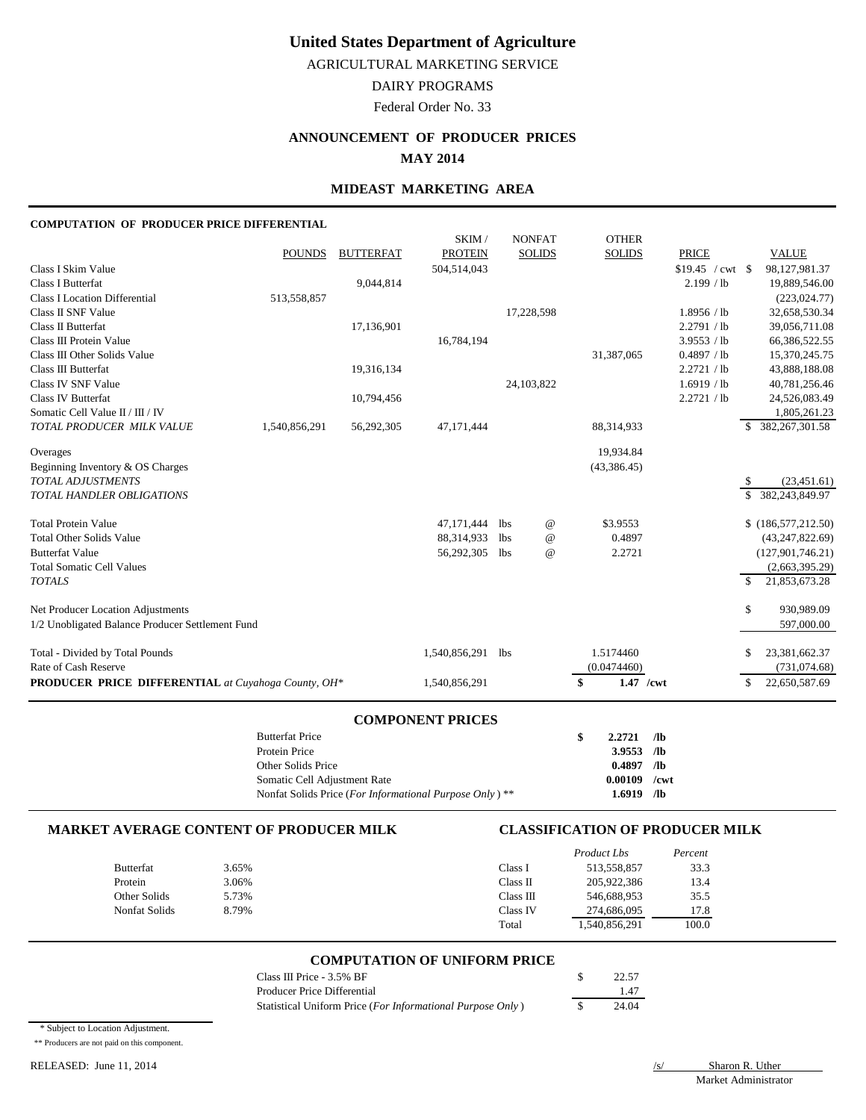AGRICULTURAL MARKETING SERVICE

DAIRY PROGRAMS

Federal Order No. 33

## **ANNOUNCEMENT OF PRODUCER PRICES**

**MAY 2014**

### **MIDEAST MARKETING AREA**

#### **COMPUTATION OF PRODUCER PRICE DIFFERENTIAL**

| Total - Divided by Total Pounds<br>Rate of Cash Reserve<br><b>PRODUCER PRICE DIFFERENTIAL</b> at Cuyahoga County, OH*                                              |               |                               | 1,540,856,291 lbs<br>1,540,856,291     |                    |                                | 1.5174460<br>(0.0474460)<br>\$<br>1.47 /cwt |                                                                         | \$<br>S   | 23,381,662.37<br>(731, 074.68)<br>22,650,587.69                                                    |
|--------------------------------------------------------------------------------------------------------------------------------------------------------------------|---------------|-------------------------------|----------------------------------------|--------------------|--------------------------------|---------------------------------------------|-------------------------------------------------------------------------|-----------|----------------------------------------------------------------------------------------------------|
| Net Producer Location Adjustments<br>1/2 Unobligated Balance Producer Settlement Fund                                                                              |               |                               |                                        |                    |                                |                                             |                                                                         | \$        | 930,989.09<br>597,000.00                                                                           |
| <b>Total Other Solids Value</b><br><b>Butterfat Value</b><br><b>Total Somatic Cell Values</b><br><b>TOTALS</b>                                                     |               |                               | 88,314,933<br>56,292,305               | lbs.<br><b>lbs</b> | $^{\copyright}$<br>$^{\,a}$    | 0.4897<br>2.2721                            |                                                                         | \$        | (43, 247, 822.69)<br>(127, 901, 746.21)<br>(2,663,395.29)<br>21,853,673.28                         |
| Overages<br>Beginning Inventory & OS Charges<br>TOTAL ADJUSTMENTS<br>TOTAL HANDLER OBLIGATIONS<br><b>Total Protein Value</b>                                       |               |                               | 47,171,444                             | lbs                | $^{\,a}$                       | 19,934.84<br>(43, 386.45)<br>\$3.9553       |                                                                         | -\$<br>\$ | (23, 451.61)<br>382,243,849.97<br>\$(186,577,212.50)                                               |
| Class IV SNF Value<br><b>Class IV Butterfat</b><br>Somatic Cell Value II / III / IV<br>TOTAL PRODUCER MILK VALUE                                                   | 1,540,856,291 | 10,794,456<br>56,292,305      | 47,171,444                             | 24,103,822         |                                | 88,314,933                                  | 1.6919 / lb<br>2.2721 / lb                                              |           | 40,781,256.46<br>24,526,083.49<br>1,805,261.23<br>\$ 382,267,301.58                                |
| <b>Class I Location Differential</b><br>Class II SNF Value<br>Class II Butterfat<br>Class III Protein Value<br>Class III Other Solids Value<br>Class III Butterfat | 513,558,857   | 17,136,901<br>19,316,134      | 16,784,194                             |                    | 17,228,598                     | 31,387,065                                  | 1.8956 / lb<br>2.2791 / lb<br>3.9553 / lb<br>0.4897 / lb<br>2.2721 / lb |           | (223, 024.77)<br>32,658,530.34<br>39,056,711.08<br>66,386,522.55<br>15,370,245.75<br>43,888,188.08 |
| Class I Skim Value<br><b>Class I Butterfat</b>                                                                                                                     | <b>POUNDS</b> | <b>BUTTERFAT</b><br>9,044,814 | SKIM/<br><b>PROTEIN</b><br>504,514,043 |                    | <b>NONFAT</b><br><b>SOLIDS</b> | <b>OTHER</b><br><b>SOLIDS</b>               | <b>PRICE</b><br>$$19.45 / cwt$ \$<br>2.199 / lb                         |           | <b>VALUE</b><br>98,127,981.37<br>19,889,546.00                                                     |

#### **MARKET AVERAGE CONTENT OF PRODUCER MILK CLASSIFICATION OF PRODUCER MILK**

|                  |       |           | Product Lbs  | Percent |
|------------------|-------|-----------|--------------|---------|
| <b>Butterfat</b> | 3.65% | Class I   | 513,558,857  | 33.3    |
| Protein          | 3.06% | Class II  | 205,922,386  | 13.4    |
| Other Solids     | 5.73% | Class III | 546,688,953  | 35.5    |
| Nonfat Solids    | 8.79% | Class IV  | 274,686,095  | 17.8    |
|                  |       | Total     | .540,856,291 | 100.0   |

Somatic Cell Adjustment Rate **0.00109 /cwt** Nonfat Solids Price (*For Informational Purpose Only* ) \*\* **1.6919 /lb**

#### **COMPUTATION OF UNIFORM PRICE**

| Class III Price - 3.5% BF                                  | 22.57 |
|------------------------------------------------------------|-------|
| Producer Price Differential                                | 1.47  |
| Statistical Uniform Price (For Informational Purpose Only) | 24.04 |

\* Subject to Location Adjustment.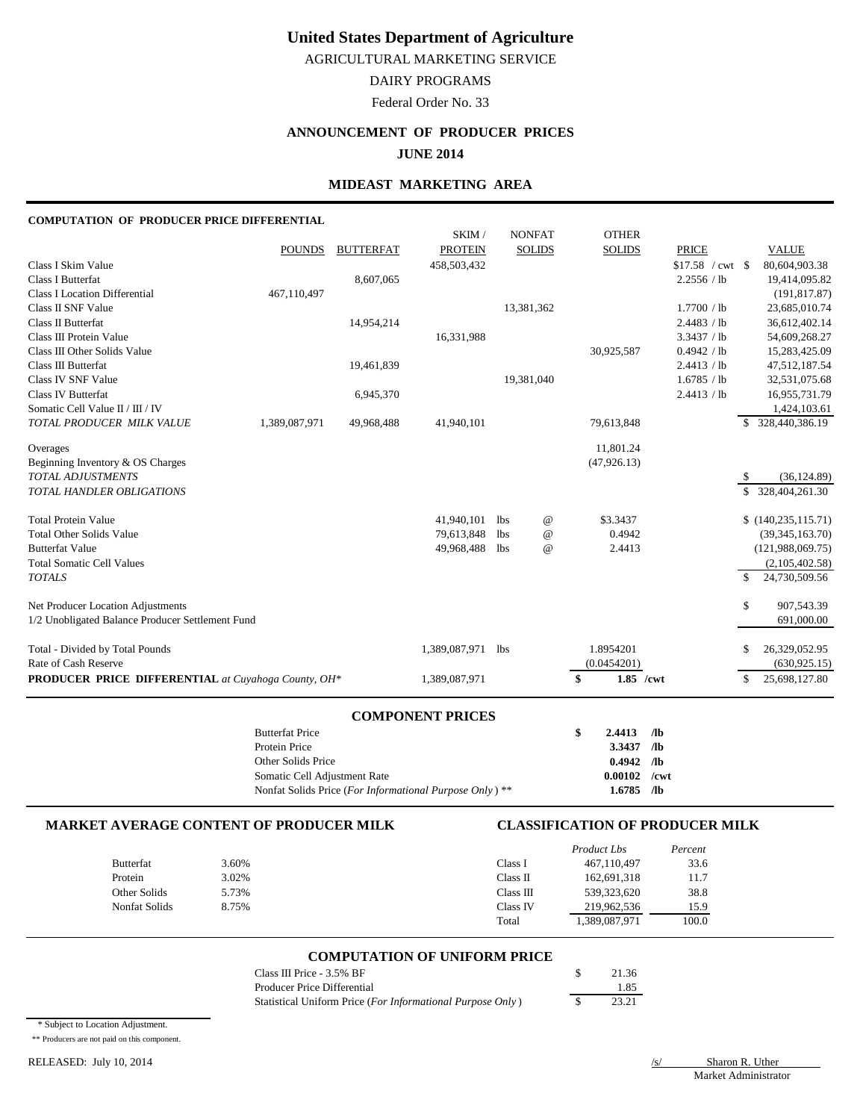AGRICULTURAL MARKETING SERVICE

## DAIRY PROGRAMS

Federal Order No. 33

## **ANNOUNCEMENT OF PRODUCER PRICES**

**JUNE 2014**

### **MIDEAST MARKETING AREA**

#### **COMPUTATION OF PRODUCER PRICE DIFFERENTIAL**

|                                                            |               |                  | SKIM/          | <b>NONFAT</b> | <b>OTHER</b>              |              |                      |
|------------------------------------------------------------|---------------|------------------|----------------|---------------|---------------------------|--------------|----------------------|
|                                                            | <b>POUNDS</b> | <b>BUTTERFAT</b> | <b>PROTEIN</b> | <b>SOLIDS</b> | <b>SOLIDS</b>             | <b>PRICE</b> | <b>VALUE</b>         |
| Class I Skim Value                                         |               |                  | 458,503,432    |               |                           |              | 80,604,903.38        |
| <b>Class I Butterfat</b>                                   |               | 8,607,065        |                |               |                           | 2.2556 / lb  | 19,414,095.82        |
| <b>Class I Location Differential</b>                       | 467,110,497   |                  |                |               |                           |              | (191, 817.87)        |
| Class II SNF Value                                         |               |                  |                | 13,381,362    |                           | 1.7700 / lb  | 23,685,010.74        |
| Class II Butterfat                                         |               | 14,954,214       |                |               |                           | 2.4483 / lb  | 36,612,402.14        |
| Class III Protein Value                                    |               |                  | 16,331,988     |               |                           | 3.3437 / lb  | 54,609,268.27        |
| Class III Other Solids Value                               |               |                  |                |               | 30,925,587                | 0.4942 / lb  | 15,283,425.09        |
| <b>Class III Butterfat</b>                                 |               | 19,461,839       |                |               |                           | 2.4413 / lb  | 47,512,187.54        |
| Class IV SNF Value                                         |               |                  |                | 19,381,040    |                           | 1.6785 / lb  | 32,531,075.68        |
| <b>Class IV Butterfat</b>                                  |               | 6,945,370        |                |               |                           | 2.4413 / lb  | 16,955,731.79        |
| Somatic Cell Value II / III / IV                           |               |                  |                |               |                           |              | 1,424,103.61         |
| TOTAL PRODUCER MILK VALUE                                  | 1,389,087,971 | 49,968,488       | 41,940,101     |               | 79,613,848                |              | \$ 328,440,386.19    |
| Overages                                                   |               |                  |                |               | 11,801.24                 |              |                      |
| Beginning Inventory & OS Charges                           |               |                  |                |               | (47, 926.13)              |              |                      |
| <b>TOTAL ADJUSTMENTS</b>                                   |               |                  |                |               |                           |              | (36, 124.89)<br>-S   |
| <b>TOTAL HANDLER OBLIGATIONS</b>                           |               |                  |                |               |                           |              | \$<br>328,404,261.30 |
| <b>Total Protein Value</b>                                 |               |                  | 41.940.101     | lbs           | \$3.3437<br>$^{\omega}$   |              | \$(140, 235, 115.71) |
| <b>Total Other Solids Value</b>                            |               |                  | 79,613,848     | <b>lbs</b>    | 0.4942<br>$^{\,a}$        |              | (39, 345, 163.70)    |
| <b>Butterfat Value</b>                                     |               |                  | 49,968,488     | lbs           | 2.4413<br>$^{\copyright}$ |              | (121,988,069.75)     |
| <b>Total Somatic Cell Values</b>                           |               |                  |                |               |                           |              | (2,105,402.58)       |
| <b>TOTALS</b>                                              |               |                  |                |               |                           |              | \$<br>24,730,509.56  |
| Net Producer Location Adjustments                          |               |                  |                |               |                           |              | \$<br>907,543.39     |
| 1/2 Unobligated Balance Producer Settlement Fund           |               |                  |                |               |                           |              | 691,000.00           |
| Total - Divided by Total Pounds                            |               |                  | 1,389,087,971  | lbs           | 1.8954201                 |              | \$<br>26,329,052.95  |
| Rate of Cash Reserve                                       |               |                  |                |               | (0.0454201)               |              | (630, 925.15)        |
| <b>PRODUCER PRICE DIFFERENTIAL</b> at Cuyahoga County, OH* |               |                  | 1,389,087,971  |               | \$                        | $1.85$ /cwt  | \$<br>25,698,127.80  |

#### **COMPONENT PRICES**

| <b>Butterfat Price</b>                                  | 2.4413         | /1 <sub>b</sub> |
|---------------------------------------------------------|----------------|-----------------|
| Protein Price                                           | $3.3437$ /lb   |                 |
| Other Solids Price                                      | $0.4942$ /lb   |                 |
| Somatic Cell Adjustment Rate                            | $0.00102$ /cwt |                 |
| Nonfat Solids Price (For Informational Purpose Only) ** | $1.6785$ /lb   |                 |

### **MARKET AVERAGE CONTENT OF PRODUCER MILK CLASSIFICATION OF PRODUCER MILK**

|                  |       |           | Product Lbs   | Percent |
|------------------|-------|-----------|---------------|---------|
| <b>Butterfat</b> | 3.60% | Class 1   | 467,110,497   | 33.6    |
| Protein          | 3.02% | Class II  | 162,691,318   | 11.7    |
| Other Solids     | 5.73% | Class III | 539,323,620   | 38.8    |
| Nonfat Solids    | 8.75% | Class IV  | 219,962,536   | 15.9    |
|                  |       | Total     | 1,389,087,971 | 100.0   |

#### **COMPUTATION OF UNIFORM PRICE**

| Class III Price - 3.5% BF                                  | 21.36 |
|------------------------------------------------------------|-------|
| Producer Price Differential                                | 185   |
| Statistical Uniform Price (For Informational Purpose Only) | 23.21 |

\* Subject to Location Adjustment.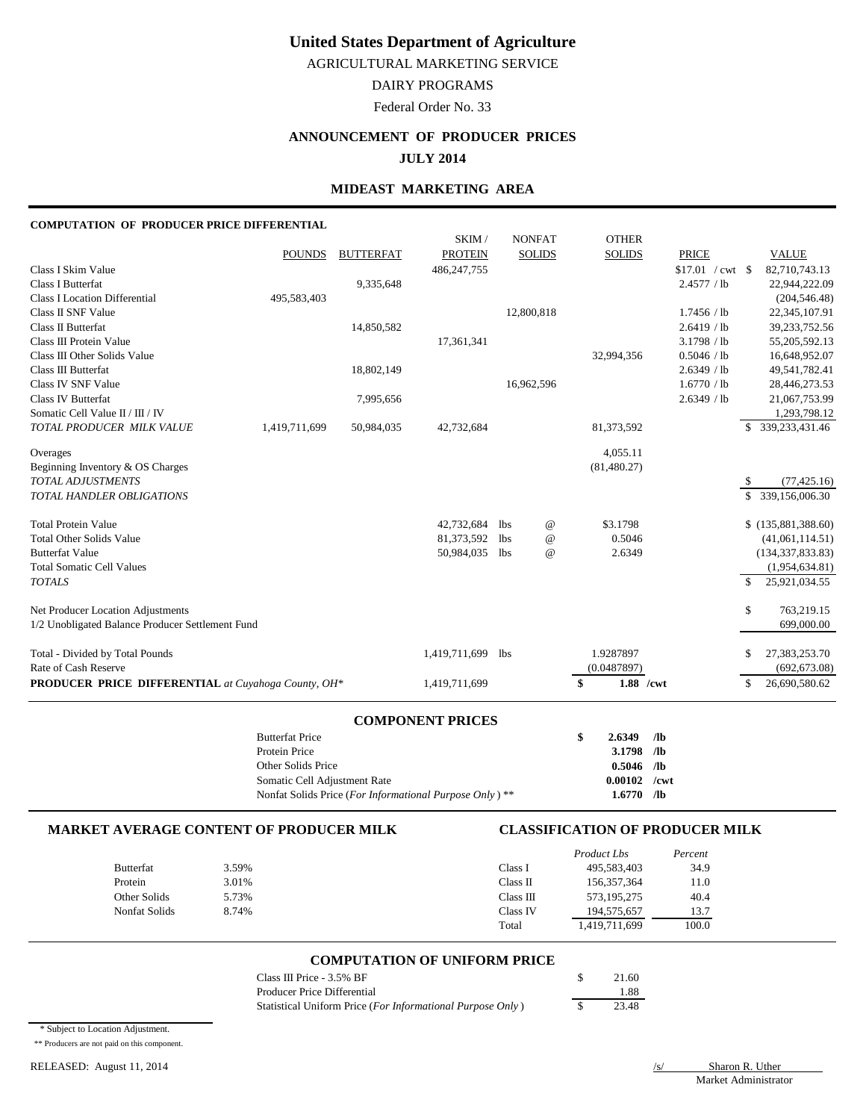AGRICULTURAL MARKETING SERVICE

DAIRY PROGRAMS

Federal Order No. 33

## **ANNOUNCEMENT OF PRODUCER PRICES**

**JULY 2014**

### **MIDEAST MARKETING AREA**

#### **COMPUTATION OF PRODUCER PRICE DIFFERENTIAL**

|                                                            | <b>Butterfat Price</b> |                  | <b>COMPONENT PRICES</b> |            |                 | \$<br>2.6349    | /1 <sub>b</sub>     |     |                                |
|------------------------------------------------------------|------------------------|------------------|-------------------------|------------|-----------------|-----------------|---------------------|-----|--------------------------------|
|                                                            |                        |                  |                         |            |                 |                 |                     |     |                                |
| <b>PRODUCER PRICE DIFFERENTIAL</b> at Cuyahoga County, OH* |                        |                  | 1,419,711,699           |            |                 | 1.88 /cwt<br>\$ |                     | \$  | 26,690,580.62                  |
| Rate of Cash Reserve                                       |                        |                  |                         |            |                 | (0.0487897)     |                     |     | (692, 673.08)                  |
| Total - Divided by Total Pounds                            |                        |                  | 1,419,711,699           | <b>lbs</b> |                 | 1.9287897       |                     | \$  | 27,383,253.70                  |
| 1/2 Unobligated Balance Producer Settlement Fund           |                        |                  |                         |            |                 |                 |                     |     | 699,000.00                     |
| Net Producer Location Adjustments                          |                        |                  |                         |            |                 |                 |                     | \$  | 763,219.15                     |
|                                                            |                        |                  |                         |            |                 |                 |                     |     |                                |
| <b>TOTALS</b>                                              |                        |                  |                         |            |                 |                 |                     | \$. | 25,921,034.55                  |
| <b>Total Somatic Cell Values</b>                           |                        |                  |                         |            |                 |                 |                     |     | (1,954,634.81)                 |
| <b>Butterfat Value</b>                                     |                        |                  | 50,984,035              | lbs        | $\omega$        | 2.6349          |                     |     | (134, 337, 833.83)             |
| <b>Total Other Solids Value</b>                            |                        |                  | 81,373,592              | lbs        | $\circleda$     | 0.5046          |                     |     | (41,061,114.51)                |
| <b>Total Protein Value</b>                                 |                        |                  | 42,732,684              | lbs.       | $^{\copyright}$ | \$3.1798        |                     |     | \$(135,881,388.60)             |
| <b>TOTAL HANDLER OBLIGATIONS</b>                           |                        |                  |                         |            |                 |                 |                     | \$. | 339,156,006.30                 |
| TOTAL ADJUSTMENTS                                          |                        |                  |                         |            |                 |                 |                     | -S  | (77, 425.16)                   |
| Beginning Inventory & OS Charges                           |                        |                  |                         |            |                 | (81, 480.27)    |                     |     |                                |
| Overages                                                   |                        |                  |                         |            |                 | 4,055.11        |                     |     |                                |
| TOTAL PRODUCER MILK VALUE                                  | 1,419,711,699          | 50,984,035       | 42,732,684              |            |                 | 81,373,592      |                     |     | \$ 339, 233, 431. 46           |
| Somatic Cell Value II / III / IV                           |                        |                  |                         |            |                 |                 |                     |     | 1,293,798.12                   |
| <b>Class IV Butterfat</b>                                  |                        | 7,995,656        |                         |            |                 |                 | 2.6349 / lb         |     | 21,067,753.99                  |
| Class IV SNF Value                                         |                        |                  |                         |            | 16,962,596      |                 | 1.6770 / lb         |     | 28,446,273.53                  |
| Class III Butterfat                                        |                        | 18,802,149       |                         |            |                 |                 | 2.6349 / lb         |     | 49,541,782.41                  |
| Class III Other Solids Value                               |                        |                  |                         |            |                 | 32,994,356      | 0.5046 / lb         |     | 16,648,952.07                  |
| Class III Protein Value                                    |                        |                  | 17,361,341              |            |                 |                 | 3.1798 / lb         |     | 55,205,592.13                  |
| <b>Class II Butterfat</b>                                  |                        | 14,850,582       |                         |            |                 |                 | 2.6419 / lb         |     | 39,233,752.56                  |
| Class II SNF Value                                         |                        |                  |                         |            | 12,800,818      |                 | 1.7456 / lb         |     | 22,345,107.91                  |
| <b>Class I Location Differential</b>                       | 495,583,403            | 9,335,648        |                         |            |                 |                 | 2.4577 / lb         |     | 22,944,222.09<br>(204, 546.48) |
| Class I Skim Value<br><b>Class I Butterfat</b>             |                        |                  | 486, 247, 755           |            |                 |                 | $$17.01$ / cwt \ \$ |     | 82,710,743.13                  |
|                                                            | <b>POUNDS</b>          | <b>BUTTERFAT</b> | <b>PROTEIN</b>          |            | <b>SOLIDS</b>   | <b>SOLIDS</b>   | <b>PRICE</b>        |     | <b>VALUE</b>                   |
|                                                            |                        |                  | SKIM/                   |            | <b>NONFAT</b>   | <b>OTHER</b>    |                     |     |                                |
|                                                            |                        |                  |                         |            |                 |                 |                     |     |                                |

| 20 accordia 1100                                        | <br>$-0.00$    |  |
|---------------------------------------------------------|----------------|--|
| Protein Price                                           | $3.1798$ /lb   |  |
| Other Solids Price                                      | $0.5046$ /lb   |  |
| Somatic Cell Adjustment Rate                            | $0.00102$ /cwt |  |
| Nonfat Solids Price (For Informational Purpose Only) ** | $1.6770$ /lb   |  |

#### **MARKET AVERAGE CONTENT OF PRODUCER MILK CLASSIFICATION OF PRODUCER MILK**

|               |       |           | Product Lbs   | Percent |
|---------------|-------|-----------|---------------|---------|
| Butterfat     | 3.59% | Class I   | 495,583,403   | 34.9    |
| Protein       | 3.01% | Class II  | 156, 357, 364 | 11.0    |
| Other Solids  | 5.73% | Class III | 573,195,275   | 40.4    |
| Nonfat Solids | 8.74% | Class IV  | 194, 575, 657 | 13.7    |
|               |       | Total     | 1,419,711,699 | 100.0   |

#### **COMPUTATION OF UNIFORM PRICE**

| Class III Price - 3.5% BF                                  | 21.60 |
|------------------------------------------------------------|-------|
| Producer Price Differential                                | 1.88  |
| Statistical Uniform Price (For Informational Purpose Only) | 23.48 |

\* Subject to Location Adjustment.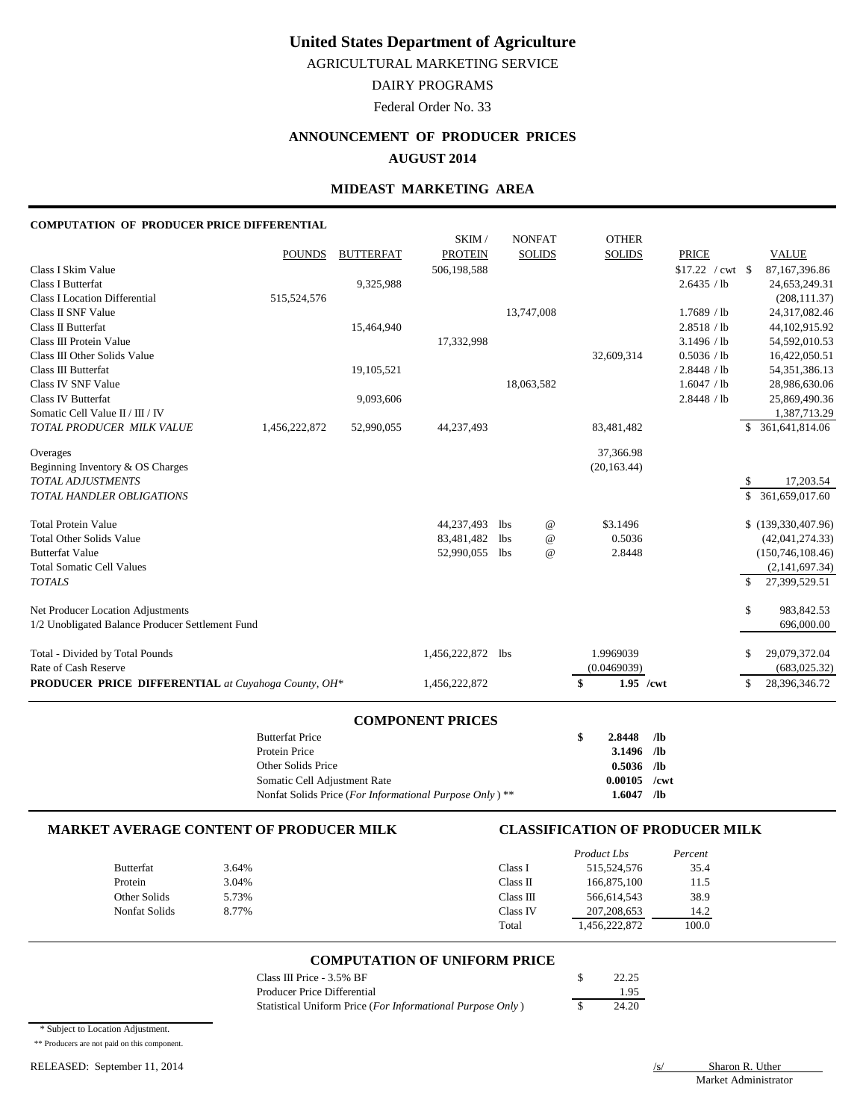AGRICULTURAL MARKETING SERVICE

DAIRY PROGRAMS

Federal Order No. 33

# **ANNOUNCEMENT OF PRODUCER PRICES**

**AUGUST 2014**

### **MIDEAST MARKETING AREA**

#### **COMPUTATION OF PRODUCER PRICE DIFFERENTIAL**

|                                                            |               |                  | SKIM/             |            | <b>NONFAT</b>   | <b>OTHER</b>      |                     |               |                    |
|------------------------------------------------------------|---------------|------------------|-------------------|------------|-----------------|-------------------|---------------------|---------------|--------------------|
|                                                            | <b>POUNDS</b> | <b>BUTTERFAT</b> | <b>PROTEIN</b>    |            | <b>SOLIDS</b>   | <b>SOLIDS</b>     | <b>PRICE</b>        |               | <b>VALUE</b>       |
| Class I Skim Value                                         |               |                  | 506,198,588       |            |                 |                   | $$17.22$ / cwt \ \$ |               | 87,167,396.86      |
| <b>Class I Butterfat</b>                                   |               | 9,325,988        |                   |            |                 |                   | 2.6435 / lb         |               | 24,653,249.31      |
| Class I Location Differential                              | 515,524,576   |                  |                   |            |                 |                   |                     |               | (208, 111.37)      |
| Class II SNF Value                                         |               |                  |                   |            | 13,747,008      |                   | 1.7689 / lb         |               | 24,317,082.46      |
| Class II Butterfat                                         |               | 15,464,940       |                   |            |                 |                   | 2.8518 / lb         |               | 44,102,915.92      |
| Class III Protein Value                                    |               |                  | 17,332,998        |            |                 |                   | 3.1496 / lb         |               | 54,592,010.53      |
| Class III Other Solids Value                               |               |                  |                   |            |                 | 32,609,314        | 0.5036 / lb         |               | 16,422,050.51      |
| Class III Butterfat                                        |               | 19,105,521       |                   |            |                 |                   | 2.8448 / lb         |               | 54, 351, 386. 13   |
| Class IV SNF Value                                         |               |                  |                   |            | 18,063,582      |                   | 1.6047 / lb         |               | 28,986,630.06      |
| <b>Class IV Butterfat</b>                                  |               | 9,093,606        |                   |            |                 |                   | 2.8448 / lb         |               | 25,869,490.36      |
| Somatic Cell Value II / III / IV                           |               |                  |                   |            |                 |                   |                     |               | 1,387,713.29       |
| TOTAL PRODUCER MILK VALUE                                  | 1,456,222,872 | 52,990,055       | 44,237,493        |            |                 | 83,481,482        |                     |               | 361,641,814.06     |
| Overages                                                   |               |                  |                   |            |                 | 37,366.98         |                     |               |                    |
| Beginning Inventory & OS Charges                           |               |                  |                   |            |                 | (20, 163.44)      |                     |               |                    |
| <b>TOTAL ADJUSTMENTS</b>                                   |               |                  |                   |            |                 |                   |                     | \$            | 17,203.54          |
| TOTAL HANDLER OBLIGATIONS                                  |               |                  |                   |            |                 |                   |                     | <sup>S</sup>  | 361,659,017.60     |
| <b>Total Protein Value</b>                                 |               |                  | 44,237,493        | lbs        | $^{\copyright}$ | \$3.1496          |                     |               | \$(139,330,407.96) |
| <b>Total Other Solids Value</b>                            |               |                  | 83,481,482        | <b>lbs</b> | $^\copyright$   | 0.5036            |                     |               | (42,041,274.33)    |
| <b>Butterfat Value</b>                                     |               |                  | 52,990,055        | lbs        | $^{\copyright}$ | 2.8448            |                     |               | (150, 746, 108.46) |
| <b>Total Somatic Cell Values</b>                           |               |                  |                   |            |                 |                   |                     |               | (2,141,697.34)     |
| <b>TOTALS</b>                                              |               |                  |                   |            |                 |                   |                     | <sup>\$</sup> | 27,399,529.51      |
| Net Producer Location Adjustments                          |               |                  |                   |            |                 |                   |                     | \$            | 983,842.53         |
| 1/2 Unobligated Balance Producer Settlement Fund           |               |                  |                   |            |                 |                   |                     |               | 696,000.00         |
| Total - Divided by Total Pounds                            |               |                  | 1,456,222,872 lbs |            |                 | 1.9969039         |                     | \$            | 29,079,372.04      |
| Rate of Cash Reserve                                       |               |                  |                   |            |                 | (0.0469039)       |                     |               | (683, 025.32)      |
| <b>PRODUCER PRICE DIFFERENTIAL</b> at Cuyahoga County, OH* |               |                  | 1,456,222,872     |            |                 | \$<br>$1.95$ /cwt |                     | \$            | 28,396,346.72      |
|                                                            |               |                  |                   |            |                 |                   |                     |               |                    |

#### **COMPONENT PRICES**

| <b>Butterfat Price</b>                                             | S | $2.8448$ /lb   |  |
|--------------------------------------------------------------------|---|----------------|--|
| Protein Price                                                      |   | $3.1496$ /lb   |  |
| Other Solids Price                                                 |   | $0.5036$ /lb   |  |
| Somatic Cell Adjustment Rate                                       |   | $0.00105$ /cwt |  |
| Nonfat Solids Price (For Informational Purpose Only) <sup>**</sup> |   | $1.6047$ /lb   |  |

#### **MARKET AVERAGE CONTENT OF PRODUCER MILK CLASSIFICATION OF PRODUCER MILK**

|               |       |           | Product Lbs   | Percent |
|---------------|-------|-----------|---------------|---------|
| Butterfat     | 3.64% | Class I   | 515,524,576   | 35.4    |
| Protein       | 3.04% | Class II  | 166,875,100   | 11.5    |
| Other Solids  | 5.73% | Class III | 566,614,543   | 38.9    |
| Nonfat Solids | 8.77% | Class IV  | 207, 208, 653 | 14.2    |
|               |       | Total     | 1,456,222,872 | 100.0   |

#### **COMPUTATION OF UNIFORM PRICE**

| Class III Price - 3.5% BF                                  | 22.25 |
|------------------------------------------------------------|-------|
| Producer Price Differential                                | 1.95  |
| Statistical Uniform Price (For Informational Purpose Only) | 24.20 |

\* Subject to Location Adjustment.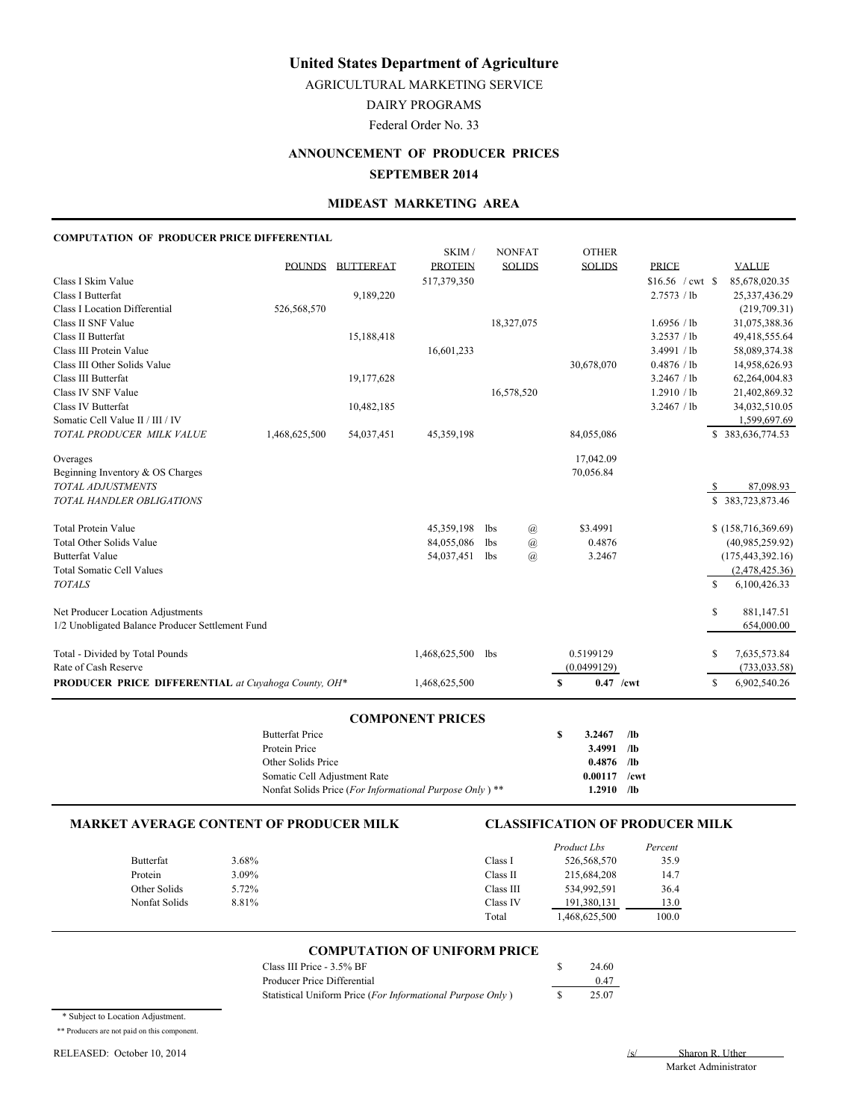AGRICULTURAL MARKETING SERVICE

DAIRY PROGRAMS

Federal Order No. 33

## **ANNOUNCEMENT OF PRODUCER PRICES SEPTEMBER 2014**

#### **MIDEAST MARKETING AREA**

#### **COMPUTATION OF PRODUCER PRICE DIFFERENTIAL**

|                                                     |               |                  | SKIM/          |            | <b>NONFAT</b>  |   | <b>OTHER</b>  |                   |     |                      |
|-----------------------------------------------------|---------------|------------------|----------------|------------|----------------|---|---------------|-------------------|-----|----------------------|
|                                                     | <b>POUNDS</b> | <b>BUTTERFAT</b> | <b>PROTEIN</b> |            | <b>SOLIDS</b>  |   | <b>SOLIDS</b> | <b>PRICE</b>      |     | <b>VALUE</b>         |
| Class I Skim Value                                  |               |                  | 517,379,350    |            |                |   |               | $$16.56$ / cwt \$ |     | 85,678,020.35        |
| Class I Butterfat                                   |               | 9,189,220        |                |            |                |   |               | 2.7573 / lb       |     | 25,337,436.29        |
| <b>Class I Location Differential</b>                | 526,568,570   |                  |                |            |                |   |               |                   |     | (219,709.31)         |
| Class II SNF Value                                  |               |                  |                |            | 18,327,075     |   |               | 1.6956 / lb       |     | 31,075,388.36        |
| Class II Butterfat                                  |               | 15,188,418       |                |            |                |   |               | 3.2537 / lb       |     | 49,418,555.64        |
| Class III Protein Value                             |               |                  | 16,601,233     |            |                |   |               | 3.4991 / lb       |     | 58,089,374.38        |
| Class III Other Solids Value                        |               |                  |                |            |                |   | 30,678,070    | 0.4876 / lb       |     | 14,958,626.93        |
| Class III Butterfat                                 |               | 19,177,628       |                |            |                |   |               | 3.2467 / lb       |     | 62,264,004.83        |
| Class IV SNF Value                                  |               |                  |                |            | 16,578,520     |   |               | 1.2910 / lb       |     | 21,402,869.32        |
| Class IV Butterfat                                  |               | 10,482,185       |                |            |                |   |               | 3.2467 / lb       |     | 34,032,510.05        |
| Somatic Cell Value II / III / IV                    |               |                  |                |            |                |   |               |                   |     | 1,599,697.69         |
| TOTAL PRODUCER MILK VALUE                           | 1,468,625,500 | 54,037,451       | 45,359,198     |            |                |   | 84,055,086    |                   |     | \$383,636,774.53     |
| Overages                                            |               |                  |                |            |                |   | 17,042.09     |                   |     |                      |
| Beginning Inventory & OS Charges                    |               |                  |                |            |                |   | 70,056.84     |                   |     |                      |
| <b>TOTAL ADJUSTMENTS</b>                            |               |                  |                |            |                |   |               |                   | S   | 87,098.93            |
| TOTAL HANDLER OBLIGATIONS                           |               |                  |                |            |                |   |               |                   |     | \$383,723,873.46     |
| <b>Total Protein Value</b>                          |               |                  | 45,359,198     | <b>lbs</b> | $\mathcal{a}$  |   | \$3.4991      |                   |     | \$(158, 716, 369.69) |
| <b>Total Other Solids Value</b>                     |               |                  | 84,055,086     | lbs        | $\mathcal{a}$  |   | 0.4876        |                   |     | (40,985,259.92)      |
| <b>Butterfat Value</b>                              |               |                  | 54,037,451     | <b>lbs</b> | $\overline{a}$ |   | 3.2467        |                   |     | (175, 443, 392.16)   |
| <b>Total Somatic Cell Values</b>                    |               |                  |                |            |                |   |               |                   |     | (2,478,425.36)       |
| <b>TOTALS</b>                                       |               |                  |                |            |                |   |               |                   | \$. | 6,100,426.33         |
| Net Producer Location Adjustments                   |               |                  |                |            |                |   |               |                   | S   | 881,147.51           |
| 1/2 Unobligated Balance Producer Settlement Fund    |               |                  |                |            |                |   |               |                   |     | 654,000.00           |
| Total - Divided by Total Pounds                     |               |                  | 1,468,625,500  | 1bs        |                |   | 0.5199129     |                   | S   | 7,635,573.84         |
| Rate of Cash Reserve                                |               |                  |                |            |                |   | (0.0499129)   |                   |     | (733, 033.58)        |
| PRODUCER PRICE DIFFERENTIAL at Cuyahoga County, OH* |               |                  | 1,468,625,500  |            |                | S | $0.47$ /cwt   |                   | S   | 6,902,540.26         |
|                                                     |               |                  |                |            |                |   |               |                   |     |                      |

#### **COMPONENT PRICES**

| <b>Butterfat Price</b>                                             | 3.2467         | /1 <sub>b</sub> |  |
|--------------------------------------------------------------------|----------------|-----------------|--|
| Protein Price                                                      | $3.4991$ /lb   |                 |  |
| Other Solids Price                                                 | $0.4876$ /lb   |                 |  |
| Somatic Cell Adiustment Rate                                       | $0.00117$ /cwt |                 |  |
| Nonfat Solids Price (For Informational Purpose Only) <sup>**</sup> | 1.2910         | /lb             |  |

#### **MARKET AVERAGE CONTENT OF PRODUCER MILK CLASSIFICATION OF PRODUCER MILK**

|               |       |           | Product Lbs | Percent |
|---------------|-------|-----------|-------------|---------|
| Butterfat     | 3.68% | Class I   | 526,568,570 | 35.9    |
| Protein       | 3.09% | Class II  | 215,684,208 | 14.7    |
| Other Solids  | 5.72% | Class III | 534.992.591 | 36.4    |
| Nonfat Solids | 8.81% | Class IV  | 191,380,131 | 13.0    |
|               |       | Total     | 468,625,500 | 100.0   |

### **COMPUTATION OF UNIFORM PRICE**

| Class III Price - 3.5% BF                                  | 24.60 |
|------------------------------------------------------------|-------|
| Producer Price Differential                                | 0.47  |
| Statistical Uniform Price (For Informational Purpose Only) | 25.07 |

\* Subject to Location Adjustment.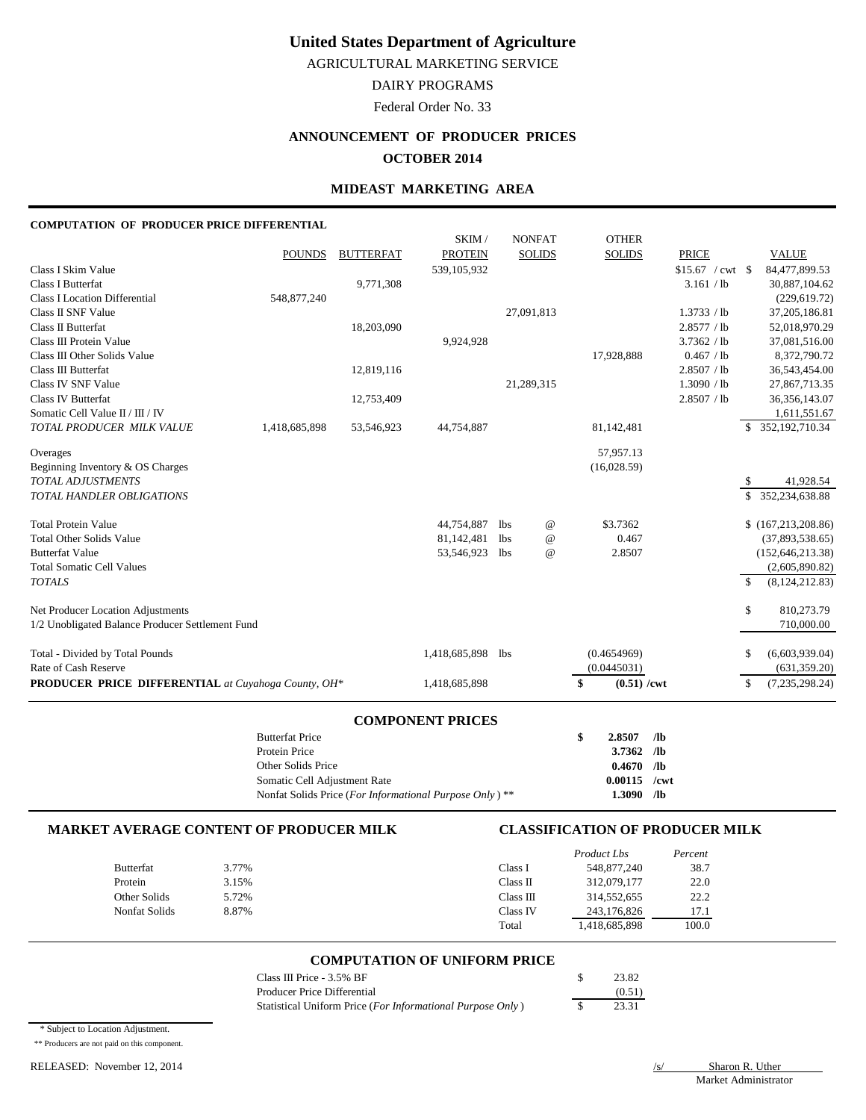AGRICULTURAL MARKETING SERVICE

DAIRY PROGRAMS

Federal Order No. 33

# **ANNOUNCEMENT OF PRODUCER PRICES**

## **OCTOBER 2014**

### **MIDEAST MARKETING AREA**

### **COMPUTATION OF PRODUCER PRICE DIFFERENTIAL**

|                                                                                       | <b>Butterfat Price</b><br>Protein Price |                  |                          |                   |                           | \$<br>/1 <sub>b</sub><br>2.8507<br>/1 <sub>b</sub><br>3.7362 |                   |               |                                       |
|---------------------------------------------------------------------------------------|-----------------------------------------|------------------|--------------------------|-------------------|---------------------------|--------------------------------------------------------------|-------------------|---------------|---------------------------------------|
|                                                                                       |                                         |                  | <b>COMPONENT PRICES</b>  |                   |                           |                                                              |                   |               |                                       |
| PRODUCER PRICE DIFFERENTIAL at Cuyahoga County, OH*                                   |                                         |                  | 1,418,685,898            |                   |                           | \$<br>$(0.51)$ /cwt                                          |                   | \$            | (7,235,298.24)                        |
| Rate of Cash Reserve                                                                  |                                         |                  |                          |                   |                           | (0.0445031)                                                  |                   |               | (631, 359.20)                         |
| Total - Divided by Total Pounds                                                       |                                         |                  | 1,418,685,898            | <b>lbs</b>        |                           | (0.4654969)                                                  |                   | \$            | (6,603,939.04)                        |
| Net Producer Location Adjustments<br>1/2 Unobligated Balance Producer Settlement Fund |                                         |                  |                          |                   |                           |                                                              |                   | \$            | 810,273.79<br>710,000.00              |
|                                                                                       |                                         |                  |                          |                   |                           |                                                              |                   |               |                                       |
| <b>TOTALS</b>                                                                         |                                         |                  |                          |                   |                           |                                                              |                   | $\mathbb{S}$  | (8, 124, 212.83)                      |
| <b>Total Somatic Cell Values</b>                                                      |                                         |                  |                          |                   |                           |                                                              |                   |               | (2,605,890.82)                        |
| <b>Total Other Solids Value</b><br><b>Butterfat Value</b>                             |                                         |                  | 81,142,481<br>53,546,923 | lbs<br><b>lbs</b> | $^\copyright$<br>$\omega$ | 0.467<br>2.8507                                              |                   |               | (37,893,538.65)<br>(152, 646, 213.38) |
| <b>Total Protein Value</b>                                                            |                                         |                  | 44,754,887               | <b>lbs</b>        | $^\text{\textregistered}$ | \$3.7362                                                     |                   |               | \$(167, 213, 208.86)                  |
| TOTAL HANDLER OBLIGATIONS                                                             |                                         |                  |                          |                   |                           |                                                              |                   | $\mathcal{S}$ | 352,234,638.88                        |
| <b>TOTAL ADJUSTMENTS</b>                                                              |                                         |                  |                          |                   |                           |                                                              |                   | S             | 41,928.54                             |
| Overages<br>Beginning Inventory & OS Charges                                          |                                         |                  |                          |                   |                           | 57,957.13<br>(16,028.59)                                     |                   |               |                                       |
| TOTAL PRODUCER MILK VALUE                                                             | 1,418,685,898                           | 53,546,923       | 44,754,887               |                   |                           | 81,142,481                                                   |                   |               | \$ 352,192,710.34                     |
| Somatic Cell Value II / III / IV                                                      |                                         |                  |                          |                   |                           |                                                              |                   |               | 1,611,551.67                          |
| Class IV Butterfat                                                                    |                                         | 12,753,409       |                          |                   |                           |                                                              | 2.8507 / lb       |               | 36, 356, 143.07                       |
| Class IV SNF Value                                                                    |                                         |                  |                          |                   | 21,289,315                |                                                              | 1.3090 / lb       |               | 27,867,713.35                         |
| Class III Butterfat                                                                   |                                         | 12,819,116       |                          |                   |                           |                                                              | 2.8507 / lb       |               | 36,543,454.00                         |
| Class III Other Solids Value                                                          |                                         |                  |                          |                   |                           | 17,928,888                                                   | 0.467 / lb        |               | 8,372,790.72                          |
| Class III Protein Value                                                               |                                         |                  | 9,924,928                |                   |                           |                                                              | 3.7362 / lb       |               | 37,081,516.00                         |
| Class II Butterfat                                                                    |                                         | 18,203,090       |                          |                   |                           |                                                              | 2.8577 / lb       |               | 52,018,970.29                         |
| Class II SNF Value                                                                    |                                         |                  |                          |                   | 27.091.813                |                                                              | 1.3733 / lb       |               | 37,205,186.81                         |
| <b>Class I Location Differential</b>                                                  | 548,877,240                             | 9,771,308        |                          |                   |                           |                                                              | 3.161 / lb        |               | 30,887,104.62<br>(229, 619.72)        |
| Class I Skim Value<br><b>Class I Butterfat</b>                                        |                                         |                  | 539,105,932              |                   |                           |                                                              | $$15.67$ / cwt \$ |               | 84,477,899.53                         |
|                                                                                       | <b>POUNDS</b>                           | <b>BUTTERFAT</b> | <b>PROTEIN</b>           |                   | <b>SOLIDS</b>             | <b>SOLIDS</b>                                                | <b>PRICE</b>      |               | <b>VALUE</b>                          |
|                                                                                       |                                         |                  | SKIM /                   |                   | <b>NONFAT</b>             | <b>OTHER</b>                                                 |                   |               |                                       |
|                                                                                       |                                         |                  |                          |                   |                           |                                                              |                   |               |                                       |

| Protein Price                                           | $3.7362$ /ID   |  |
|---------------------------------------------------------|----------------|--|
| Other Solids Price                                      | $0.4670$ /lb   |  |
| Somatic Cell Adjustment Rate                            | $0.00115$ /cwt |  |
| Nonfat Solids Price (For Informational Purpose Only) ** | $1.3090$ /lb   |  |

#### **MARKET AVERAGE CONTENT OF PRODUCER MILK CLASSIFICATION OF PRODUCER MILK**

|                  |       |           | Product Lbs   | Percent |
|------------------|-------|-----------|---------------|---------|
| <b>Butterfat</b> | 3.77% | Class l   | 548,877,240   | 38.7    |
| Protein          | 3.15% | Class II  | 312,079,177   | 22.0    |
| Other Solids     | 5.72% | Class III | 314,552,655   | 22.2    |
| Nonfat Solids    | 8.87% | Class IV  | 243.176.826   | 17.1    |
|                  |       | Total     | 1,418,685,898 | 100.0   |

#### **COMPUTATION OF UNIFORM PRICE**

| Class III Price - 3.5% BF                                  | 23.82  |
|------------------------------------------------------------|--------|
| Producer Price Differential                                | (0.51) |
| Statistical Uniform Price (For Informational Purpose Only) | 23.31  |

\* Subject to Location Adjustment.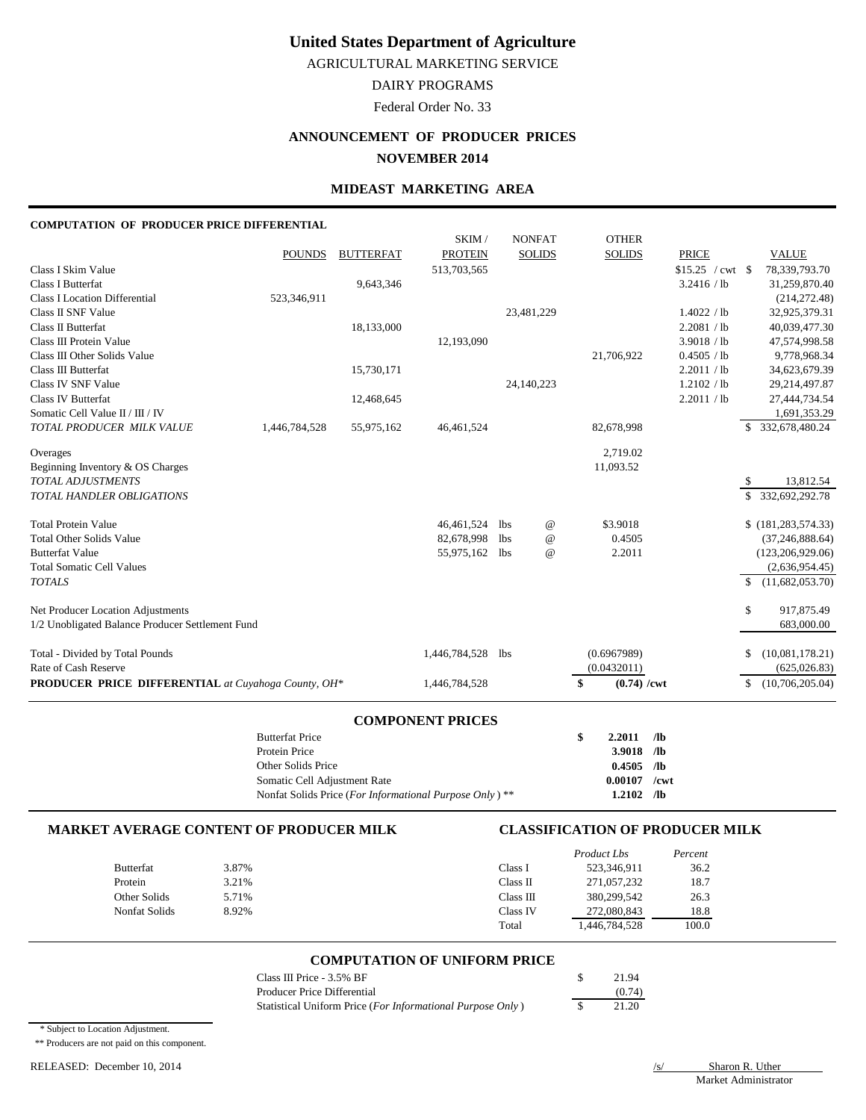AGRICULTURAL MARKETING SERVICE

DAIRY PROGRAMS

Federal Order No. 33

# **ANNOUNCEMENT OF PRODUCER PRICES**

## **NOVEMBER 2014**

### **MIDEAST MARKETING AREA**

### **COMPUTATION OF PRODUCER PRICE DIFFERENTIAL**

|                                                              | <b>Butterfat Price</b> |                  |                         |            |                           | \$<br>2.2011<br>/1 <sub>b</sub> |                            |                                          |
|--------------------------------------------------------------|------------------------|------------------|-------------------------|------------|---------------------------|---------------------------------|----------------------------|------------------------------------------|
|                                                              |                        |                  | <b>COMPONENT PRICES</b> |            |                           |                                 |                            |                                          |
| <b>PRODUCER PRICE DIFFERENTIAL</b> at Cuyahoga County, OH*   |                        |                  | 1,446,784,528           |            |                           | \$<br>$(0.74) / \text{cwt}$     |                            | (10,706,205.04)<br>\$                    |
| Rate of Cash Reserve                                         |                        |                  |                         |            |                           | (0.0432011)                     |                            | (625, 026.83)                            |
| Total - Divided by Total Pounds                              |                        |                  | 1,446,784,528           | <b>lbs</b> |                           | (0.6967989)                     |                            | (10,081,178.21)<br>S                     |
| 1/2 Unobligated Balance Producer Settlement Fund             |                        |                  |                         |            |                           |                                 |                            | 683,000.00                               |
| Net Producer Location Adjustments                            |                        |                  |                         |            |                           |                                 |                            | \$<br>917,875.49                         |
|                                                              |                        |                  |                         |            |                           |                                 |                            |                                          |
| <b>Total Somatic Cell Values</b><br><b>TOTALS</b>            |                        |                  |                         |            |                           |                                 |                            | (2,636,954.45)<br>(11,682,053.70)<br>\$. |
| <b>Butterfat Value</b>                                       |                        |                  | 55,975,162              | lbs        | $\omega$                  | 2.2011                          |                            | (123, 206, 929.06)                       |
| <b>Total Other Solids Value</b>                              |                        |                  | 82,678,998              | <b>lbs</b> | $^\text{\textregistered}$ | 0.4505                          |                            | (37, 246, 888.64)                        |
| <b>Total Protein Value</b>                                   |                        |                  | 46,461,524              | lbs        | $^{\copyright}$           | \$3.9018                        |                            | \$(181, 283, 574.33)                     |
|                                                              |                        |                  |                         |            |                           |                                 |                            |                                          |
| TOTAL HANDLER OBLIGATIONS                                    |                        |                  |                         |            |                           |                                 |                            | 332,692,292.78<br>\$                     |
| Beginning Inventory & OS Charges<br><b>TOTAL ADJUSTMENTS</b> |                        |                  |                         |            |                           | 11,093.52                       |                            | 13,812.54<br>S.                          |
| Overages                                                     |                        |                  |                         |            |                           | 2,719.02                        |                            |                                          |
|                                                              |                        |                  |                         |            |                           |                                 |                            |                                          |
| TOTAL PRODUCER MILK VALUE                                    | 1,446,784,528          | 55,975,162       | 46,461,524              |            |                           | 82,678,998                      |                            | 332,678,480.24<br>S.                     |
| Somatic Cell Value II / III / IV                             |                        |                  |                         |            |                           |                                 |                            | 1,691,353.29                             |
| <b>Class IV Butterfat</b>                                    |                        | 12,468,645       |                         |            | 24,140,223                |                                 | 1.2102 / lb<br>2.2011 / lb | 29, 214, 497.87<br>27,444,734.54         |
| Class III Butterfat<br>Class IV SNF Value                    |                        | 15,730,171       |                         |            |                           |                                 | 2.2011 / lb                | 34,623,679.39                            |
| Class III Other Solids Value                                 |                        |                  |                         |            |                           | 21,706,922                      | 0.4505 / lb                | 9,778,968.34                             |
| Class III Protein Value                                      |                        |                  | 12,193,090              |            |                           |                                 | 3.9018 / lb                | 47,574,998.58                            |
| Class II Butterfat                                           |                        | 18,133,000       |                         |            |                           |                                 | 2.2081 / lb                | 40,039,477.30                            |
| Class II SNF Value                                           |                        |                  |                         |            | 23,481,229                |                                 | 1.4022 / lb                | 32,925,379.31                            |
| <b>Class I Location Differential</b>                         | 523,346,911            |                  |                         |            |                           |                                 |                            | (214, 272.48)                            |
| <b>Class I Butterfat</b>                                     |                        | 9,643,346        |                         |            |                           |                                 | 3.2416 / lb                | 31,259,870.40                            |
| Class I Skim Value                                           |                        |                  | 513,703,565             |            |                           |                                 | $$15.25$ / cwt \\$         | 78,339,793.70                            |
|                                                              | <b>POUNDS</b>          | <b>BUTTERFAT</b> | <b>PROTEIN</b>          |            | <b>SOLIDS</b>             | <b>SOLIDS</b>                   | <b>PRICE</b>               | <b>VALUE</b>                             |
|                                                              |                        |                  | SKIM/                   |            | <b>NONFAT</b>             | <b>OTHER</b>                    |                            |                                          |

|                                                                    | -------        |  |
|--------------------------------------------------------------------|----------------|--|
| Protein Price                                                      | $3.9018$ /lb   |  |
| Other Solids Price                                                 | $0.4505$ /lb   |  |
| Somatic Cell Adjustment Rate                                       | $0.00107$ /cwt |  |
| Nonfat Solids Price (For Informational Purpose Only) <sup>**</sup> | $1.2102$ /lb   |  |

#### **MARKET AVERAGE CONTENT OF PRODUCER MILK CLASSIFICATION OF PRODUCER MILK**

|                  |       |           | Product Lbs | Percent |
|------------------|-------|-----------|-------------|---------|
| <b>Butterfat</b> | 3.87% | Class I   | 523,346,911 | 36.2    |
| Protein          | 3.21% | Class II  | 271,057,232 | 18.7    |
| Other Solids     | 5.71% | Class III | 380,299,542 | 26.3    |
| Nonfat Solids    | 8.92% | Class IV  | 272,080,843 | 18.8    |
|                  |       | Total     | 446,784,528 | 100.0   |

#### **COMPUTATION OF UNIFORM PRICE**

| Class III Price - 3.5% BF                                  | 21.94  |
|------------------------------------------------------------|--------|
| Producer Price Differential                                | (0.74) |
| Statistical Uniform Price (For Informational Purpose Only) | 21.20  |

\* Subject to Location Adjustment.